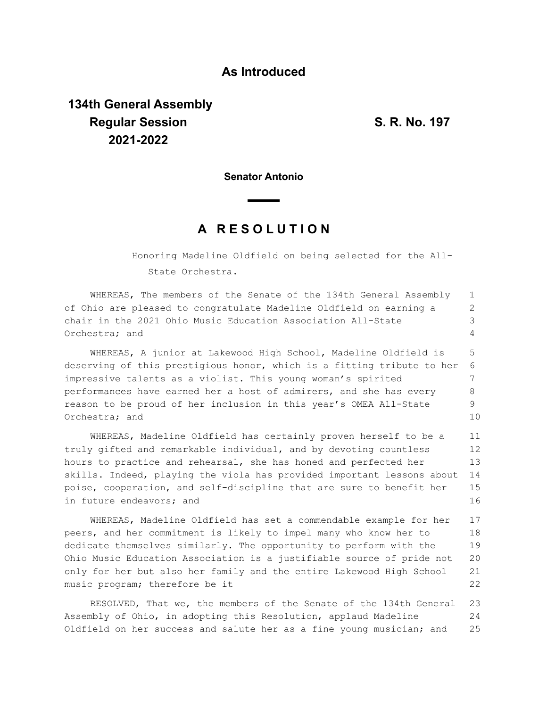## **As Introduced**

## **134th General Assembly Regular Session S. R. No. 197 2021-2022**

**Senator Antonio**

## **A R E S O L U T I O N**

Honoring Madeline Oldfield on being selected for the All-State Orchestra.

WHEREAS, The members of the Senate of the 134th General Assembly of Ohio are pleased to congratulate Madeline Oldfield on earning a chair in the 2021 Ohio Music Education Association All-State Orchestra; and 1 2 3 4

WHEREAS, A junior at Lakewood High School, Madeline Oldfield is deserving of this prestigious honor, which is a fitting tribute to her impressive talents as a violist. This young woman's spirited performances have earned her a host of admirers, and she has every reason to be proud of her inclusion in this year's OMEA All-State Orchestra; and 5 6 7 8 9 10

WHEREAS, Madeline Oldfield has certainly proven herself to be a truly gifted and remarkable individual, and by devoting countless hours to practice and rehearsal, she has honed and perfected her skills. Indeed, playing the viola has provided important lessons about poise, cooperation, and self-discipline that are sure to benefit her in future endeavors; and 11 12 13 14 15 16

WHEREAS, Madeline Oldfield has set a commendable example for her peers, and her commitment is likely to impel many who know her to dedicate themselves similarly. The opportunity to perform with the Ohio Music Education Association is a justifiable source of pride not only for her but also her family and the entire Lakewood High School music program; therefore be it 17 18 19 20 21 22

RESOLVED, That we, the members of the Senate of the 134th General Assembly of Ohio, in adopting this Resolution, applaud Madeline Oldfield on her success and salute her as a fine young musician; and 23 24 25